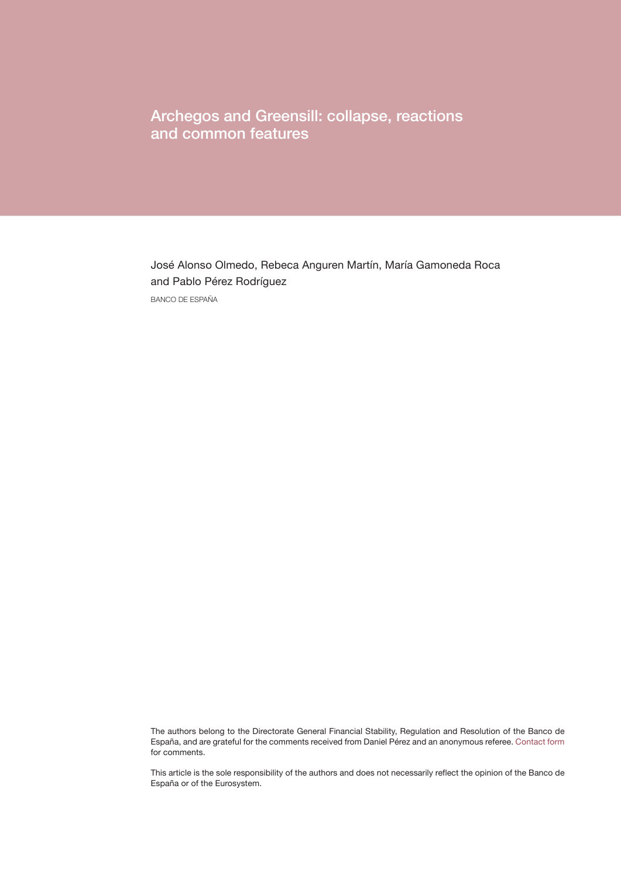Archegos and Greensill: collapse, reactions and common features

José Alonso Olmedo, Rebeca Anguren Martín, María Gamoneda Roca and Pablo Pérez Rodríguez BANCO DE ESPAÑA

The authors belong to the Directorate General Financial Stability, Regulation and Resolution of the Banco de España, and are grateful for the comments received from Daniel Pérez and an anonymous referee. [Contact form](https://app.bde.es/gnt_seg/en/contacto?a=329c99DiBw9JQtLObNFrTzoaMj35Eo8u) for comments.

This article is the sole responsibility of the authors and does not necessarily reflect the opinion of the Banco de España or of the Eurosystem.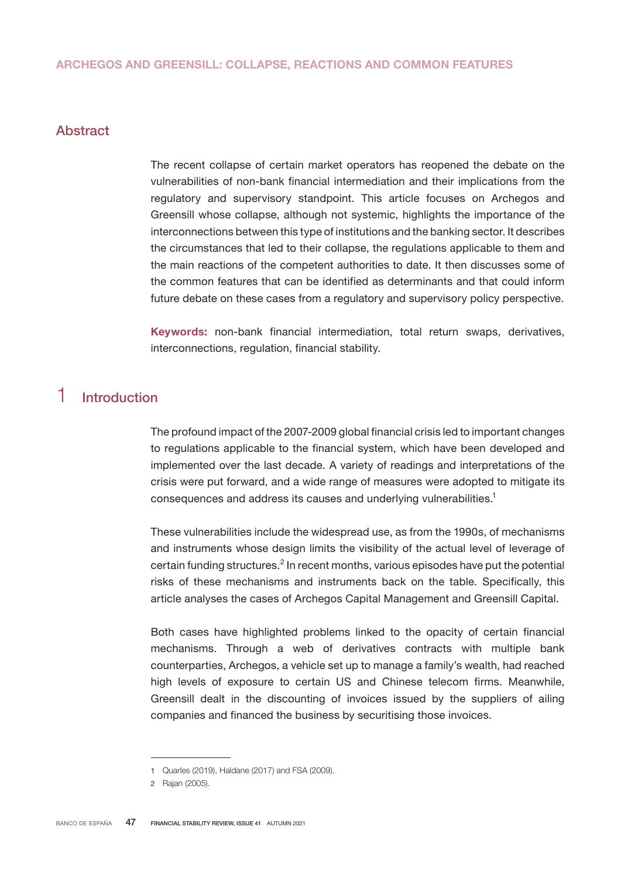## Abstract

The recent collapse of certain market operators has reopened the debate on the vulnerabilities of non-bank financial intermediation and their implications from the regulatory and supervisory standpoint. This article focuses on Archegos and Greensill whose collapse, although not systemic, highlights the importance of the interconnections between this type of institutions and the banking sector. It describes the circumstances that led to their collapse, the regulations applicable to them and the main reactions of the competent authorities to date. It then discusses some of the common features that can be identified as determinants and that could inform future debate on these cases from a regulatory and supervisory policy perspective.

Keywords: non-bank financial intermediation, total return swaps, derivatives, interconnections, regulation, financial stability.

# 1 Introduction

The profound impact of the 2007-2009 global financial crisis led to important changes to regulations applicable to the financial system, which have been developed and implemented over the last decade. A variety of readings and interpretations of the crisis were put forward, and a wide range of measures were adopted to mitigate its consequences and address its causes and underlying vulnerabilities.<sup>1</sup>

These vulnerabilities include the widespread use, as from the 1990s, of mechanisms and instruments whose design limits the visibility of the actual level of leverage of certain funding structures. $2$  In recent months, various episodes have put the potential risks of these mechanisms and instruments back on the table. Specifically, this article analyses the cases of Archegos Capital Management and Greensill Capital.

Both cases have highlighted problems linked to the opacity of certain financial mechanisms. Through a web of derivatives contracts with multiple bank counterparties, Archegos, a vehicle set up to manage a family's wealth, had reached high levels of exposure to certain US and Chinese telecom firms. Meanwhile, Greensill dealt in the discounting of invoices issued by the suppliers of ailing companies and financed the business by securitising those invoices.

<sup>1</sup> Quarles (2019), Haldane (2017) and FSA (2009).

<sup>2</sup> Rajan (2005).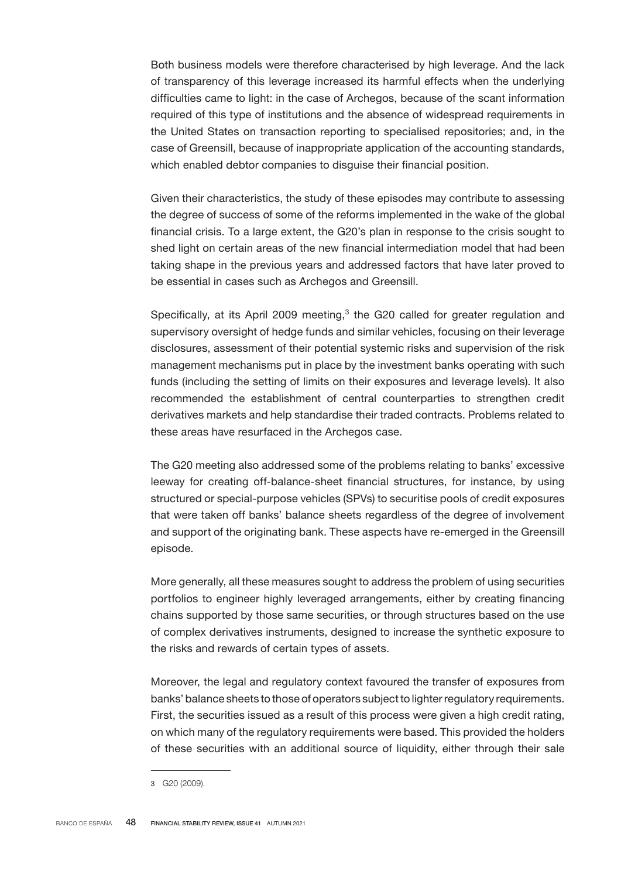Both business models were therefore characterised by high leverage. And the lack of transparency of this leverage increased its harmful effects when the underlying difficulties came to light: in the case of Archegos, because of the scant information required of this type of institutions and the absence of widespread requirements in the United States on transaction reporting to specialised repositories; and, in the case of Greensill, because of inappropriate application of the accounting standards, which enabled debtor companies to disguise their financial position.

Given their characteristics, the study of these episodes may contribute to assessing the degree of success of some of the reforms implemented in the wake of the global financial crisis. To a large extent, the G20's plan in response to the crisis sought to shed light on certain areas of the new financial intermediation model that had been taking shape in the previous years and addressed factors that have later proved to be essential in cases such as Archegos and Greensill.

Specifically, at its April 2009 meeting, $3$  the G20 called for greater regulation and supervisory oversight of hedge funds and similar vehicles, focusing on their leverage disclosures, assessment of their potential systemic risks and supervision of the risk management mechanisms put in place by the investment banks operating with such funds (including the setting of limits on their exposures and leverage levels). It also recommended the establishment of central counterparties to strengthen credit derivatives markets and help standardise their traded contracts. Problems related to these areas have resurfaced in the Archegos case.

The G20 meeting also addressed some of the problems relating to banks' excessive leeway for creating off-balance-sheet financial structures, for instance, by using structured or special-purpose vehicles (SPVs) to securitise pools of credit exposures that were taken off banks' balance sheets regardless of the degree of involvement and support of the originating bank. These aspects have re-emerged in the Greensill episode.

More generally, all these measures sought to address the problem of using securities portfolios to engineer highly leveraged arrangements, either by creating financing chains supported by those same securities, or through structures based on the use of complex derivatives instruments, designed to increase the synthetic exposure to the risks and rewards of certain types of assets.

Moreover, the legal and regulatory context favoured the transfer of exposures from banks' balance sheets to those of operators subject to lighter regulatory requirements. First, the securities issued as a result of this process were given a high credit rating, on which many of the regulatory requirements were based. This provided the holders of these securities with an additional source of liquidity, either through their sale

<sup>3</sup> G20 (2009).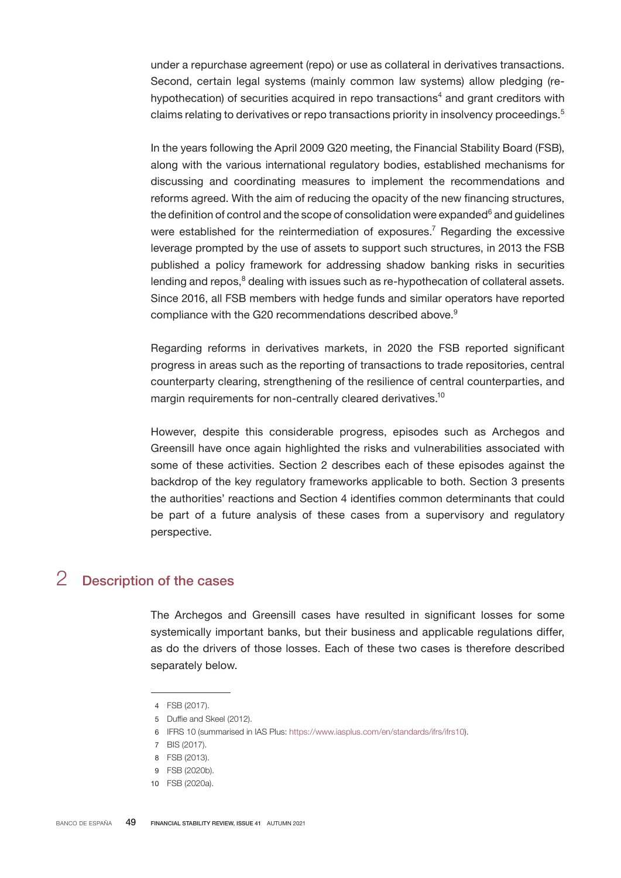under a repurchase agreement (repo) or use as collateral in derivatives transactions. Second, certain legal systems (mainly common law systems) allow pledging (rehypothecation) of securities acquired in repo transactions<sup>4</sup> and grant creditors with claims relating to derivatives or repo transactions priority in insolvency proceedings.<sup>5</sup>

In the years following the April 2009 G20 meeting, the Financial Stability Board (FSB), along with the various international regulatory bodies, established mechanisms for discussing and coordinating measures to implement the recommendations and reforms agreed. With the aim of reducing the opacity of the new financing structures, the definition of control and the scope of consolidation were expanded $^6$  and guidelines were established for the reintermediation of exposures.<sup>7</sup> Regarding the excessive leverage prompted by the use of assets to support such structures, in 2013 the FSB published a policy framework for addressing shadow banking risks in securities lending and repos, $<sup>8</sup>$  dealing with issues such as re-hypothecation of collateral assets.</sup> Since 2016, all FSB members with hedge funds and similar operators have reported compliance with the G20 recommendations described above.<sup>9</sup>

Regarding reforms in derivatives markets, in 2020 the FSB reported significant progress in areas such as the reporting of transactions to trade repositories, central counterparty clearing, strengthening of the resilience of central counterparties, and margin requirements for non-centrally cleared derivatives.<sup>10</sup>

However, despite this considerable progress, episodes such as Archegos and Greensill have once again highlighted the risks and vulnerabilities associated with some of these activities. Section 2 describes each of these episodes against the backdrop of the key regulatory frameworks applicable to both. Section 3 presents the authorities' reactions and Section 4 identifies common determinants that could be part of a future analysis of these cases from a supervisory and regulatory perspective.

## 2 Description of the cases

The Archegos and Greensill cases have resulted in significant losses for some systemically important banks, but their business and applicable regulations differ, as do the drivers of those losses. Each of these two cases is therefore described separately below.

<sup>4</sup> FSB (2017).

<sup>5</sup> Duffie and Skeel (2012).

<sup>6</sup> IFRS 10 (summarised in IAS Plus: <https://www.iasplus.com/en/standards/ifrs/ifrs10>).

<sup>7</sup> BIS (2017).

<sup>8</sup> FSB (2013).

<sup>9</sup> FSB (2020b).

<sup>10</sup> FSB (2020a).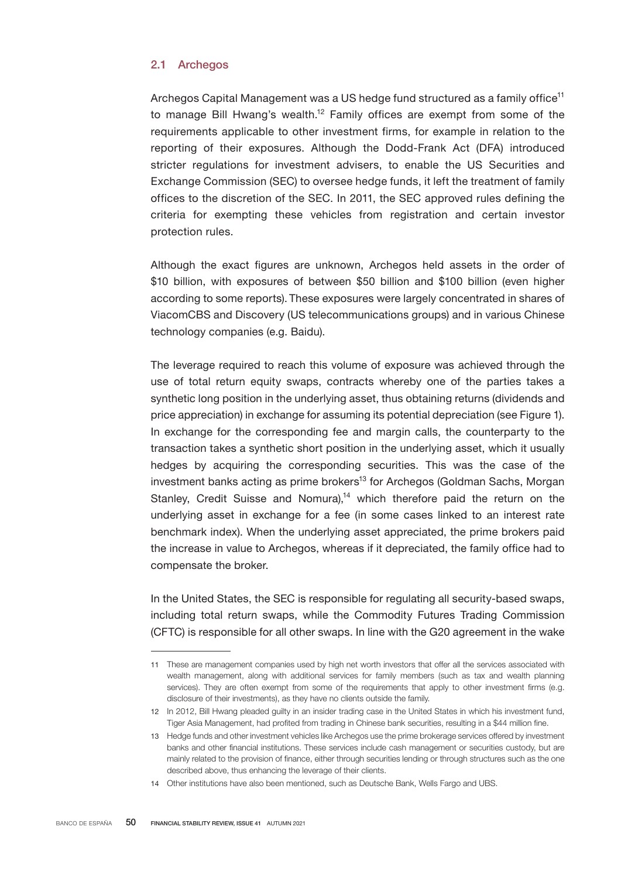## 2.1 Archegos

Archegos Capital Management was a US hedge fund structured as a family office<sup>11</sup> to manage Bill Hwang's wealth.<sup>12</sup> Family offices are exempt from some of the requirements applicable to other investment firms, for example in relation to the reporting of their exposures. Although the Dodd-Frank Act (DFA) introduced stricter regulations for investment advisers, to enable the US Securities and Exchange Commission (SEC) to oversee hedge funds, it left the treatment of family offices to the discretion of the SEC. In 2011, the SEC approved rules defining the criteria for exempting these vehicles from registration and certain investor protection rules.

Although the exact figures are unknown, Archegos held assets in the order of \$10 billion, with exposures of between \$50 billion and \$100 billion (even higher according to some reports). These exposures were largely concentrated in shares of ViacomCBS and Discovery (US telecommunications groups) and in various Chinese technology companies (e.g. Baidu).

The leverage required to reach this volume of exposure was achieved through the use of total return equity swaps, contracts whereby one of the parties takes a synthetic long position in the underlying asset, thus obtaining returns (dividends and price appreciation) in exchange for assuming its potential depreciation (see Figure 1). In exchange for the corresponding fee and margin calls, the counterparty to the transaction takes a synthetic short position in the underlying asset, which it usually hedges by acquiring the corresponding securities. This was the case of the investment banks acting as prime brokers<sup>13</sup> for Archegos (Goldman Sachs, Morgan Stanley, Credit Suisse and Nomura),<sup>14</sup> which therefore paid the return on the underlying asset in exchange for a fee (in some cases linked to an interest rate benchmark index). When the underlying asset appreciated, the prime brokers paid the increase in value to Archegos, whereas if it depreciated, the family office had to compensate the broker.

In the United States, the SEC is responsible for regulating all security-based swaps, including total return swaps, while the Commodity Futures Trading Commission (CFTC) is responsible for all other swaps. In line with the G20 agreement in the wake

<sup>11</sup> These are management companies used by high net worth investors that offer all the services associated with wealth management, along with additional services for family members (such as tax and wealth planning services). They are often exempt from some of the requirements that apply to other investment firms (e.g. disclosure of their investments), as they have no clients outside the family.

<sup>12</sup> In 2012, Bill Hwang pleaded guilty in an insider trading case in the United States in which his investment fund, Tiger Asia Management, had profited from trading in Chinese bank securities, resulting in a \$44 million fine.

<sup>13</sup> Hedge funds and other investment vehicles like Archegos use the prime brokerage services offered by investment banks and other financial institutions. These services include cash management or securities custody, but are mainly related to the provision of finance, either through securities lending or through structures such as the one described above, thus enhancing the leverage of their clients.

<sup>14</sup> Other institutions have also been mentioned, such as Deutsche Bank, Wells Fargo and UBS.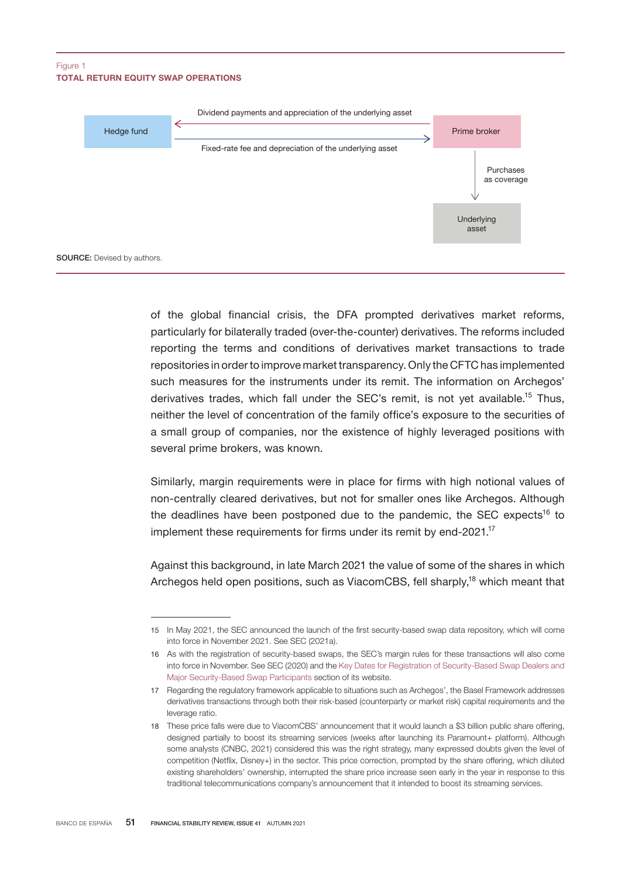#### TOTAL RETURN EQUITY SWAP OPERATIONS Figure 1



of the global financial crisis, the DFA prompted derivatives market reforms, particularly for bilaterally traded (over-the-counter) derivatives. The reforms included reporting the terms and conditions of derivatives market transactions to trade repositories in order to improve market transparency. Only the CFTC has implemented such measures for the instruments under its remit. The information on Archegos' derivatives trades, which fall under the SEC's remit, is not yet available.<sup>15</sup> Thus, neither the level of concentration of the family office's exposure to the securities of a small group of companies, nor the existence of highly leveraged positions with several prime brokers, was known.

Similarly, margin requirements were in place for firms with high notional values of non-centrally cleared derivatives, but not for smaller ones like Archegos. Although the deadlines have been postponed due to the pandemic, the SEC expects<sup>16</sup> to implement these requirements for firms under its remit by end-2021. $17$ 

Against this background, in late March 2021 the value of some of the shares in which Archegos held open positions, such as ViacomCBS, fell sharply,<sup>18</sup> which meant that

<sup>15</sup> In May 2021, the SEC announced the launch of the first security-based swap data repository, which will come into force in November 2021. See SEC (2021a).

<sup>16</sup> As with the registration of security-based swaps, the SEC's margin rules for these transactions will also come into force in November. See SEC (2020) and the [Key Dates for Registration of Security-Based Swap Dealers and](https://www.sec.gov/page/key-dates-registration-security-based-swap-dealers-and-major-security-based-swap-participants) [Major Security-Based Swap Participants](https://www.sec.gov/page/key-dates-registration-security-based-swap-dealers-and-major-security-based-swap-participants) section of its website.

<sup>17</sup> Regarding the regulatory framework applicable to situations such as Archegos', the Basel Framework addresses derivatives transactions through both their risk-based (counterparty or market risk) capital requirements and the leverage ratio.

<sup>18</sup> These price falls were due to ViacomCBS' announcement that it would launch a \$3 billion public share offering, designed partially to boost its streaming services (weeks after launching its Paramount+ platform). Although some analysts (CNBC, 2021) considered this was the right strategy, many expressed doubts given the level of competition (Netflix, Disney+) in the sector. This price correction, prompted by the share offering, which diluted existing shareholders' ownership, interrupted the share price increase seen early in the year in response to this traditional telecommunications company's announcement that it intended to boost its streaming services.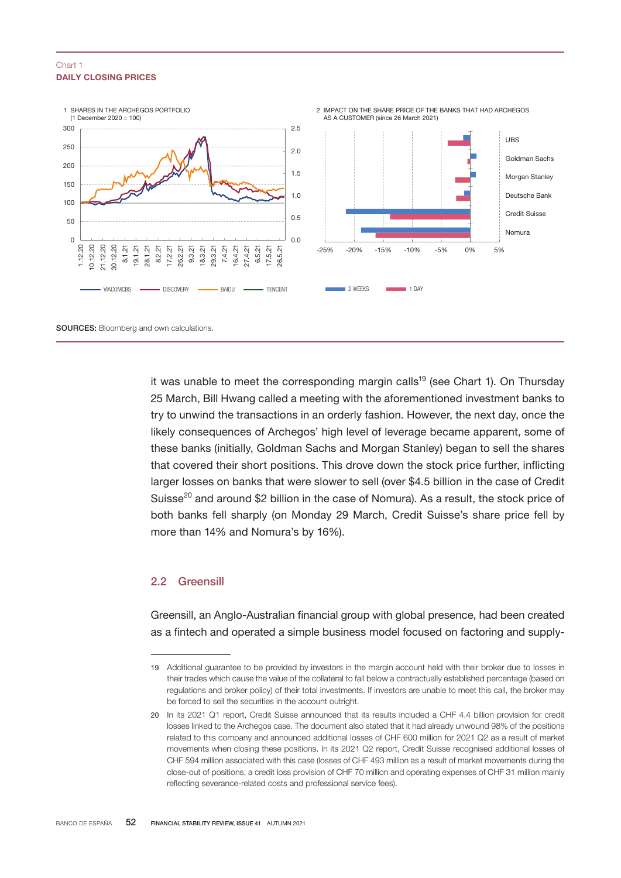#### DAILY CLOSING PRICES Chart 1



it was unable to meet the corresponding margin calls<sup>19</sup> (see Chart 1). On Thursday 25 March, Bill Hwang called a meeting with the aforementioned investment banks to try to unwind the transactions in an orderly fashion. However, the next day, once the likely consequences of Archegos' high level of leverage became apparent, some of these banks (initially, Goldman Sachs and Morgan Stanley) began to sell the shares that covered their short positions. This drove down the stock price further, inflicting larger losses on banks that were slower to sell (over \$4.5 billion in the case of Credit Suisse<sup>20</sup> and around \$2 billion in the case of Nomura). As a result, the stock price of both banks fell sharply (on Monday 29 March, Credit Suisse's share price fell by more than 14% and Nomura's by 16%).

### 2.2 Greensill

Greensill, an Anglo-Australian financial group with global presence, had been created as a fintech and operated a simple business model focused on factoring and supply-

<sup>19</sup> Additional guarantee to be provided by investors in the margin account held with their broker due to losses in their trades which cause the value of the collateral to fall below a contractually established percentage (based on regulations and broker policy) of their total investments. If investors are unable to meet this call, the broker may be forced to sell the securities in the account outright.

<sup>20</sup> In its 2021 Q1 report, Credit Suisse announced that its results included a CHF 4.4 billion provision for credit losses linked to the Archegos case. The document also stated that it had already unwound 98% of the positions related to this company and announced additional losses of CHF 600 million for 2021 Q2 as a result of market movements when closing these positions. In its 2021 Q2 report, Credit Suisse recognised additional losses of CHF 594 million associated with this case (losses of CHF 493 million as a result of market movements during the close-out of positions, a credit loss provision of CHF 70 million and operating expenses of CHF 31 million mainly reflecting severance-related costs and professional service fees).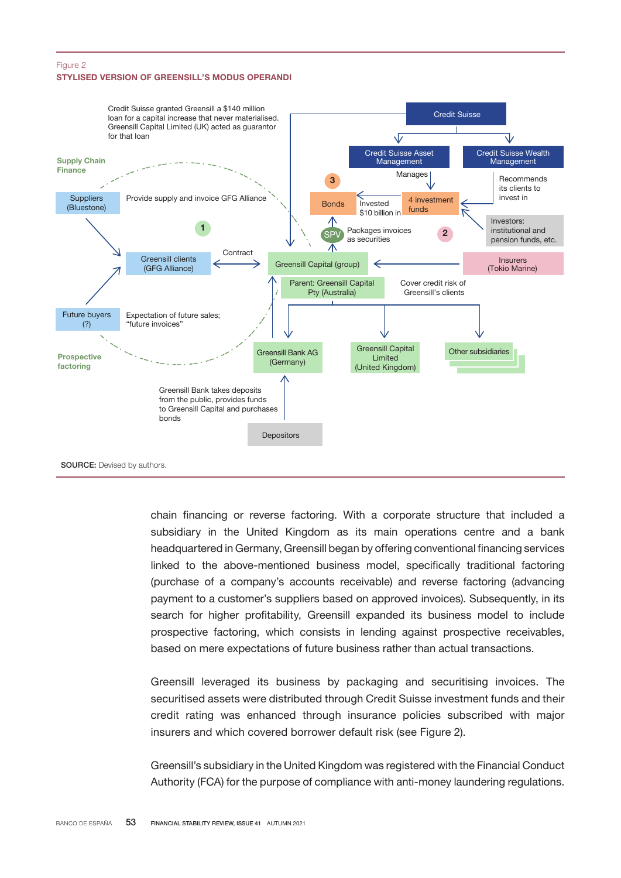#### STYLISED VERSION OF GREENSILL'S MODUS OPERANDI Figure 2



chain financing or reverse factoring. With a corporate structure that included a subsidiary in the United Kingdom as its main operations centre and a bank headquartered in Germany, Greensill began by offering conventional financing services linked to the above-mentioned business model, specifically traditional factoring (purchase of a company's accounts receivable) and reverse factoring (advancing payment to a customer's suppliers based on approved invoices). Subsequently, in its search for higher profitability, Greensill expanded its business model to include prospective factoring, which consists in lending against prospective receivables, based on mere expectations of future business rather than actual transactions.

Greensill leveraged its business by packaging and securitising invoices. The securitised assets were distributed through Credit Suisse investment funds and their credit rating was enhanced through insurance policies subscribed with major insurers and which covered borrower default risk (see Figure 2).

Greensill's subsidiary in the United Kingdom was registered with the Financial Conduct Authority (FCA) for the purpose of compliance with anti-money laundering regulations.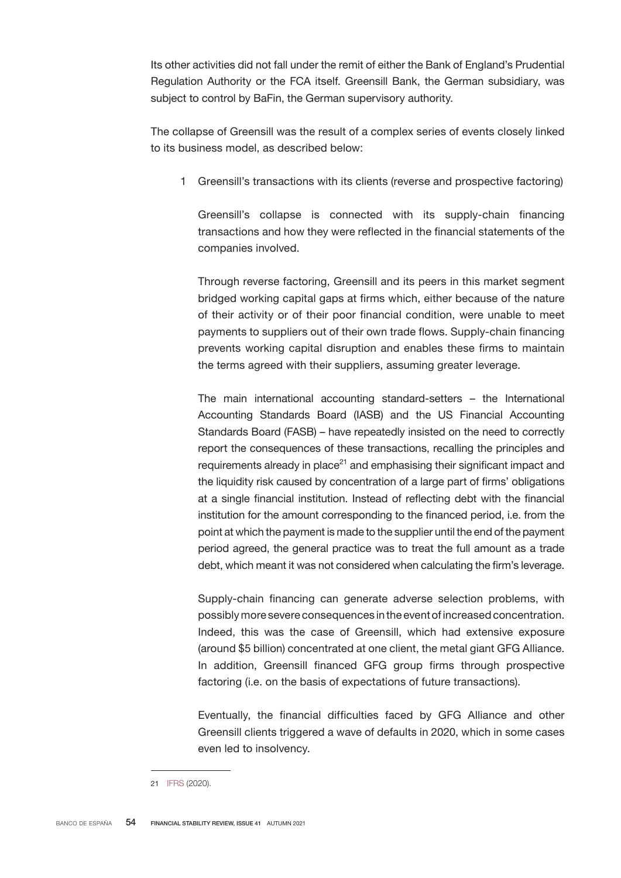Its other activities did not fall under the remit of either the Bank of England's Prudential Regulation Authority or the FCA itself. Greensill Bank, the German subsidiary, was subject to control by BaFin, the German supervisory authority.

The collapse of Greensill was the result of a complex series of events closely linked to its business model, as described below:

1 Greensill's transactions with its clients (reverse and prospective factoring)

Greensill's collapse is connected with its supply-chain financing transactions and how they were reflected in the financial statements of the companies involved.

Through reverse factoring, Greensill and its peers in this market segment bridged working capital gaps at firms which, either because of the nature of their activity or of their poor financial condition, were unable to meet payments to suppliers out of their own trade flows. Supply-chain financing prevents working capital disruption and enables these firms to maintain the terms agreed with their suppliers, assuming greater leverage.

The main international accounting standard-setters – the International Accounting Standards Board (IASB) and the US Financial Accounting Standards Board (FASB) – have repeatedly insisted on the need to correctly report the consequences of these transactions, recalling the principles and requirements already in place $21$  and emphasising their significant impact and the liquidity risk caused by concentration of a large part of firms' obligations at a single financial institution. Instead of reflecting debt with the financial institution for the amount corresponding to the financed period, i.e. from the point at which the payment is made to the supplier until the end of the payment period agreed, the general practice was to treat the full amount as a trade debt, which meant it was not considered when calculating the firm's leverage.

Supply-chain financing can generate adverse selection problems, with possibly more severe consequences in the event of increased concentration. Indeed, this was the case of Greensill, which had extensive exposure (around \$5 billion) concentrated at one client, the metal giant GFG Alliance. In addition, Greensill financed GFG group firms through prospective factoring (i.e. on the basis of expectations of future transactions).

Eventually, the financial difficulties faced by GFG Alliance and other Greensill clients triggered a wave of defaults in 2020, which in some cases even led to insolvency.

<sup>21</sup> [IFRS](https://www.ifrs.org/content/dam/ifrs/supporting-implementation/agenda-decisions/2020/supply-chain-financing-arrangements-reverse-factoring-december-2020.pdf) (2020).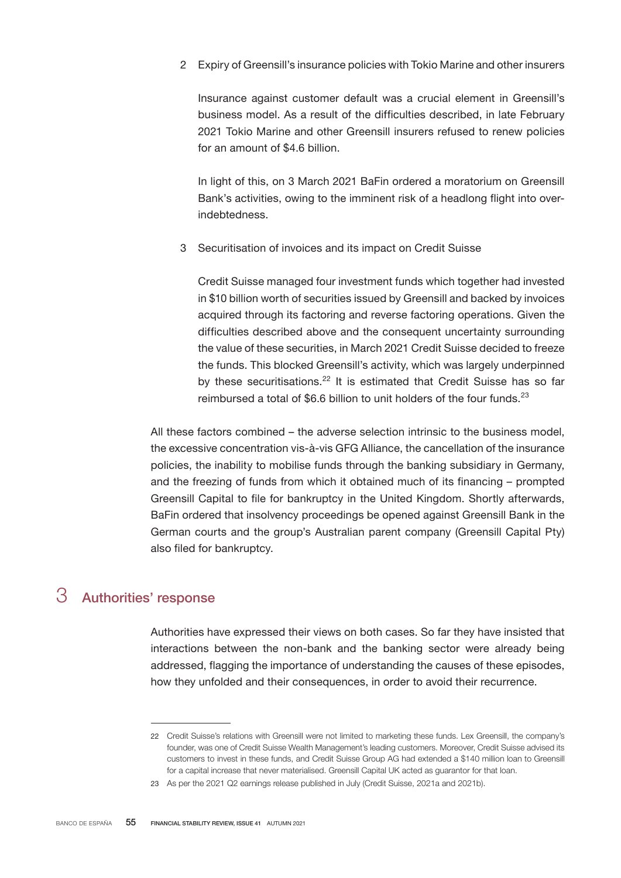2 Expiry of Greensill's insurance policies with Tokio Marine and other insurers

Insurance against customer default was a crucial element in Greensill's business model. As a result of the difficulties described, in late February 2021 Tokio Marine and other Greensill insurers refused to renew policies for an amount of \$4.6 billion.

In light of this, on 3 March 2021 BaFin ordered a moratorium on Greensill Bank's activities, owing to the imminent risk of a headlong flight into overindebtedness.

3 Securitisation of invoices and its impact on Credit Suisse

Credit Suisse managed four investment funds which together had invested in \$10 billion worth of securities issued by Greensill and backed by invoices acquired through its factoring and reverse factoring operations. Given the difficulties described above and the consequent uncertainty surrounding the value of these securities, in March 2021 Credit Suisse decided to freeze the funds. This blocked Greensill's activity, which was largely underpinned by these securitisations.<sup>22</sup> It is estimated that Credit Suisse has so far reimbursed a total of \$6.6 billion to unit holders of the four funds.<sup>23</sup>

All these factors combined – the adverse selection intrinsic to the business model, the excessive concentration vis-à-vis GFG Alliance, the cancellation of the insurance policies, the inability to mobilise funds through the banking subsidiary in Germany, and the freezing of funds from which it obtained much of its financing – prompted Greensill Capital to file for bankruptcy in the United Kingdom. Shortly afterwards, BaFin ordered that insolvency proceedings be opened against Greensill Bank in the German courts and the group's Australian parent company (Greensill Capital Pty) also filed for bankruptcy.

## 3 Authorities' response

Authorities have expressed their views on both cases. So far they have insisted that interactions between the non-bank and the banking sector were already being addressed, flagging the importance of understanding the causes of these episodes, how they unfolded and their consequences, in order to avoid their recurrence.

<sup>22</sup> Credit Suisse's relations with Greensill were not limited to marketing these funds. Lex Greensill, the company's founder, was one of Credit Suisse Wealth Management's leading customers. Moreover, Credit Suisse advised its customers to invest in these funds, and Credit Suisse Group AG had extended a \$140 million loan to Greensill for a capital increase that never materialised. Greensill Capital UK acted as guarantor for that loan.

<sup>23</sup> As per the 2021 Q2 earnings release published in July (Credit Suisse, 2021a and 2021b).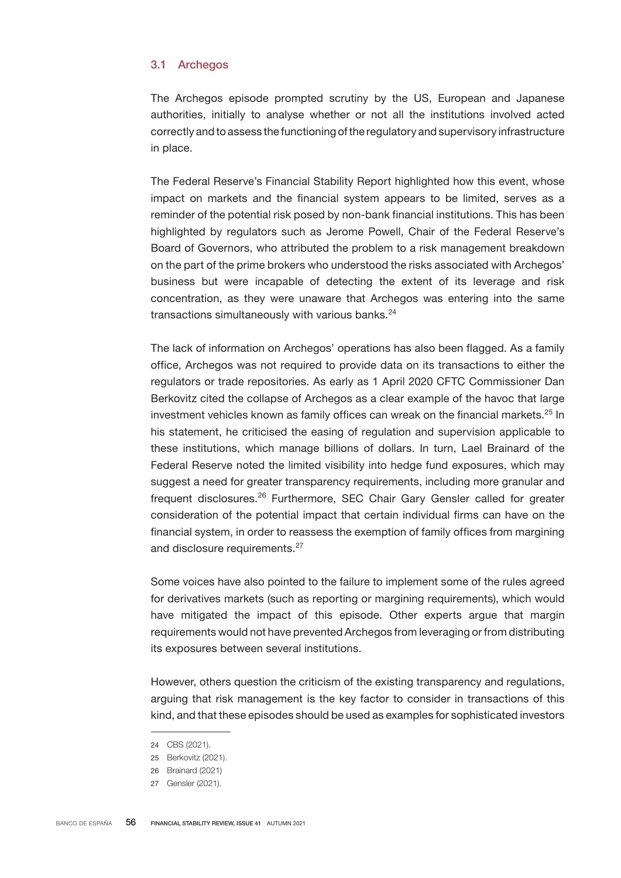### 3.1 Archegos

The Archegos episode prompted scrutiny by the US, European and Japanese authorities, initially to analyse whether or not all the institutions involved acted correctly and to assess the functioning of the regulatory and supervisory infrastructure in place.

The Federal Reserve's Financial Stability Report highlighted how this event, whose impact on markets and the financial system appears to be limited, serves as a reminder of the potential risk posed by non-bank financial institutions. This has been highlighted by regulators such as Jerome Powell, Chair of the Federal Reserve's Board of Governors, who attributed the problem to a risk management breakdown on the part of the prime brokers who understood the risks associated with Archegos' business but were incapable of detecting the extent of its leverage and risk concentration, as they were unaware that Archegos was entering into the same transactions simultaneously with various banks. $24$ 

The lack of information on Archegos' operations has also been flagged. As a family office, Archegos was not required to provide data on its transactions to either the regulators or trade repositories. As early as 1 April 2020 CFTC Commissioner Dan Berkovitz cited the collapse of Archegos as a clear example of the havoc that large investment vehicles known as family offices can wreak on the financial markets.<sup>25</sup> In his statement, he criticised the easing of regulation and supervision applicable to these institutions, which manage billions of dollars. In turn, Lael Brainard of the Federal Reserve noted the limited visibility into hedge fund exposures, which may suggest a need for greater transparency requirements, including more granular and frequent disclosures.<sup>26</sup> Furthermore, SEC Chair Gary Gensler called for greater consideration of the potential impact that certain individual firms can have on the financial system, in order to reassess the exemption of family offices from margining and disclosure requirements.<sup>27</sup>

Some voices have also pointed to the failure to implement some of the rules agreed for derivatives markets (such as reporting or margining requirements), which would have mitigated the impact of this episode. Other experts argue that margin requirements would not have prevented Archegos from leveraging or from distributing its exposures between several institutions.

However, others question the criticism of the existing transparency and regulations, arguing that risk management is the key factor to consider in transactions of this kind, and that these episodes should be used as examples for sophisticated investors

<sup>24</sup> CBS (2021).

<sup>25</sup> Berkovitz (2021).

<sup>26</sup> Brainard (2021)

<sup>27</sup> Gensler (2021).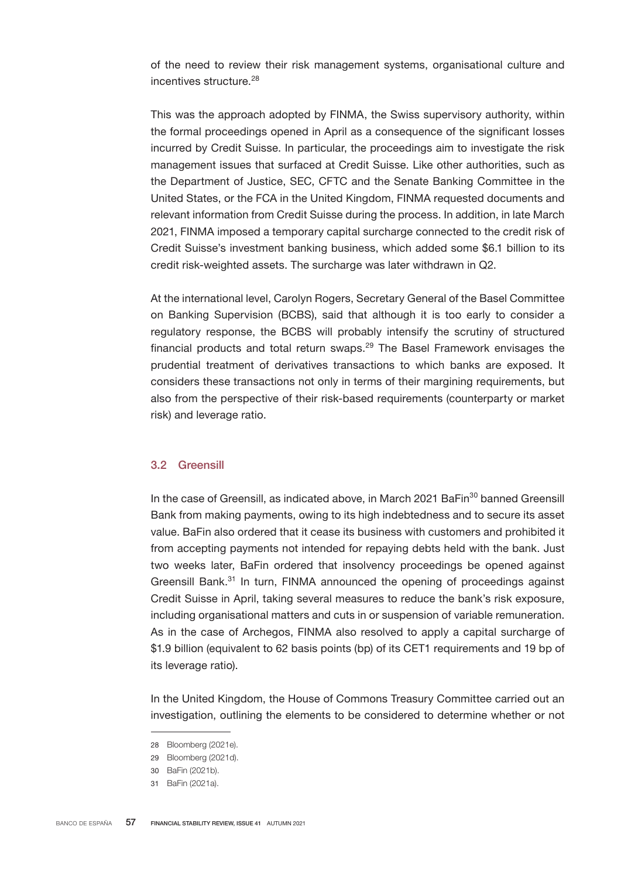of the need to review their risk management systems, organisational culture and incentives structure.<sup>28</sup>

This was the approach adopted by FINMA, the Swiss supervisory authority, within the formal proceedings opened in April as a consequence of the significant losses incurred by Credit Suisse. In particular, the proceedings aim to investigate the risk management issues that surfaced at Credit Suisse. Like other authorities, such as the Department of Justice, SEC, CFTC and the Senate Banking Committee in the United States, or the FCA in the United Kingdom, FINMA requested documents and relevant information from Credit Suisse during the process. In addition, in late March 2021, FINMA imposed a temporary capital surcharge connected to the credit risk of Credit Suisse's investment banking business, which added some \$6.1 billion to its credit risk-weighted assets. The surcharge was later withdrawn in Q2.

At the international level, Carolyn Rogers, Secretary General of the Basel Committee on Banking Supervision (BCBS), said that although it is too early to consider a regulatory response, the BCBS will probably intensify the scrutiny of structured financial products and total return swaps. $29$  The Basel Framework envisages the prudential treatment of derivatives transactions to which banks are exposed. It considers these transactions not only in terms of their margining requirements, but also from the perspective of their risk-based requirements (counterparty or market risk) and leverage ratio.

### 3.2 Greensill

In the case of Greensill, as indicated above, in March 2021 BaFin<sup>30</sup> banned Greensill Bank from making payments, owing to its high indebtedness and to secure its asset value. BaFin also ordered that it cease its business with customers and prohibited it from accepting payments not intended for repaying debts held with the bank. Just two weeks later, BaFin ordered that insolvency proceedings be opened against Greensill Bank.<sup>31</sup> In turn, FINMA announced the opening of proceedings against Credit Suisse in April, taking several measures to reduce the bank's risk exposure, including organisational matters and cuts in or suspension of variable remuneration. As in the case of Archegos, FINMA also resolved to apply a capital surcharge of \$1.9 billion (equivalent to 62 basis points (bp) of its CET1 requirements and 19 bp of its leverage ratio).

In the United Kingdom, the House of Commons Treasury Committee carried out an investigation, outlining the elements to be considered to determine whether or not

<sup>28</sup> Bloomberg (2021e).

<sup>29</sup> Bloomberg (2021d).

<sup>30</sup> BaFin (2021b).

<sup>31</sup> BaFin (2021a).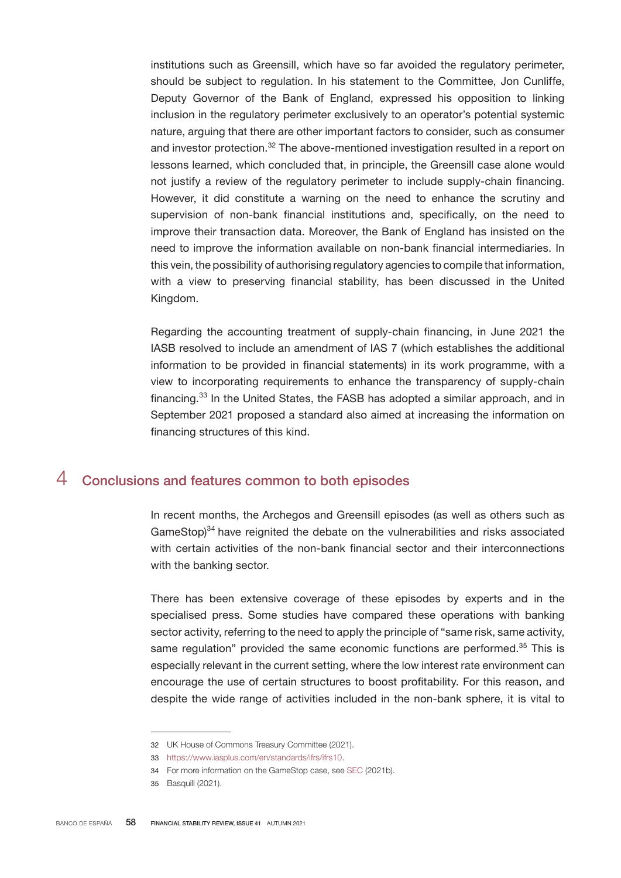institutions such as Greensill, which have so far avoided the regulatory perimeter, should be subject to regulation. In his statement to the Committee, Jon Cunliffe, Deputy Governor of the Bank of England, expressed his opposition to linking inclusion in the regulatory perimeter exclusively to an operator's potential systemic nature, arguing that there are other important factors to consider, such as consumer and investor protection.<sup>32</sup> The above-mentioned investigation resulted in a report on lessons learned, which concluded that, in principle, the Greensill case alone would not justify a review of the regulatory perimeter to include supply-chain financing. However, it did constitute a warning on the need to enhance the scrutiny and supervision of non-bank financial institutions and, specifically, on the need to improve their transaction data. Moreover, the Bank of England has insisted on the need to improve the information available on non-bank financial intermediaries. In this vein, the possibility of authorising regulatory agencies to compile that information, with a view to preserving financial stability, has been discussed in the United Kingdom.

Regarding the accounting treatment of supply-chain financing, in June 2021 the IASB resolved to include an amendment of IAS 7 (which establishes the additional information to be provided in financial statements) in its work programme, with a view to incorporating requirements to enhance the transparency of supply-chain financing.<sup>33</sup> In the United States, the FASB has adopted a similar approach, and in September 2021 proposed a standard also aimed at increasing the information on financing structures of this kind.

## 4 Conclusions and features common to both episodes

In recent months, the Archegos and Greensill episodes (as well as others such as GameStop)<sup>34</sup> have reignited the debate on the vulnerabilities and risks associated with certain activities of the non-bank financial sector and their interconnections with the banking sector.

There has been extensive coverage of these episodes by experts and in the specialised press. Some studies have compared these operations with banking sector activity, referring to the need to apply the principle of "same risk, same activity, same regulation" provided the same economic functions are performed.<sup>35</sup> This is especially relevant in the current setting, where the low interest rate environment can encourage the use of certain structures to boost profitability. For this reason, and despite the wide range of activities included in the non-bank sphere, it is vital to

<sup>32</sup> UK House of Commons Treasury Committee (2021).

<sup>33</sup> [https://www.iasplus.com/en/standards/ifrs/ifrs10.](https://www.iasplus.com/en/standards/ifrs/ifrs10)

<sup>34</sup> For more information on the GameStop case, see [SEC](https://www.sec.gov/files/staff-report-equity-options-market-struction-conditions-early-2021.pdf) (2021b).

<sup>35</sup> Basquill (2021).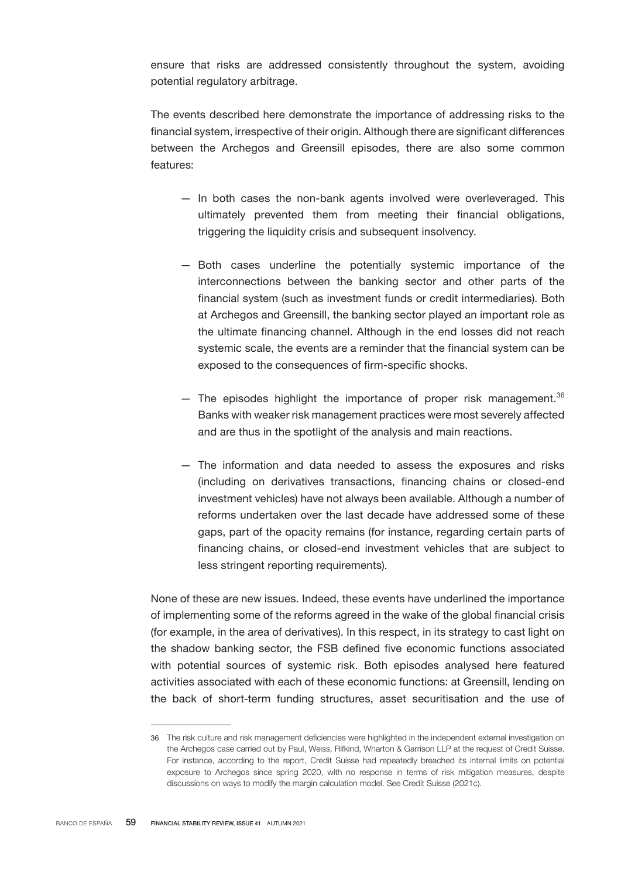ensure that risks are addressed consistently throughout the system, avoiding potential regulatory arbitrage.

The events described here demonstrate the importance of addressing risks to the financial system, irrespective of their origin. Although there are significant differences between the Archegos and Greensill episodes, there are also some common features:

- In both cases the non-bank agents involved were overleveraged. This ultimately prevented them from meeting their financial obligations, triggering the liquidity crisis and subsequent insolvency.
- Both cases underline the potentially systemic importance of the interconnections between the banking sector and other parts of the financial system (such as investment funds or credit intermediaries). Both at Archegos and Greensill, the banking sector played an important role as the ultimate financing channel. Although in the end losses did not reach systemic scale, the events are a reminder that the financial system can be exposed to the consequences of firm-specific shocks.
- $-$  The episodes highlight the importance of proper risk management.<sup>36</sup> Banks with weaker risk management practices were most severely affected and are thus in the spotlight of the analysis and main reactions.
- The information and data needed to assess the exposures and risks (including on derivatives transactions, financing chains or closed-end investment vehicles) have not always been available. Although a number of reforms undertaken over the last decade have addressed some of these gaps, part of the opacity remains (for instance, regarding certain parts of financing chains, or closed-end investment vehicles that are subject to less stringent reporting requirements).

None of these are new issues. Indeed, these events have underlined the importance of implementing some of the reforms agreed in the wake of the global financial crisis (for example, in the area of derivatives). In this respect, in its strategy to cast light on the shadow banking sector, the FSB defined five economic functions associated with potential sources of systemic risk. Both episodes analysed here featured activities associated with each of these economic functions: at Greensill, lending on the back of short-term funding structures, asset securitisation and the use of

<sup>36</sup> The risk culture and risk management deficiencies were highlighted in the independent external investigation on the Archegos case carried out by Paul, Weiss, Rifkind, Wharton & Garrison LLP at the request of Credit Suisse. For instance, according to the report, Credit Suisse had repeatedly breached its internal limits on potential exposure to Archegos since spring 2020, with no response in terms of risk mitigation measures, despite discussions on ways to modify the margin calculation model. See Credit Suisse (2021c).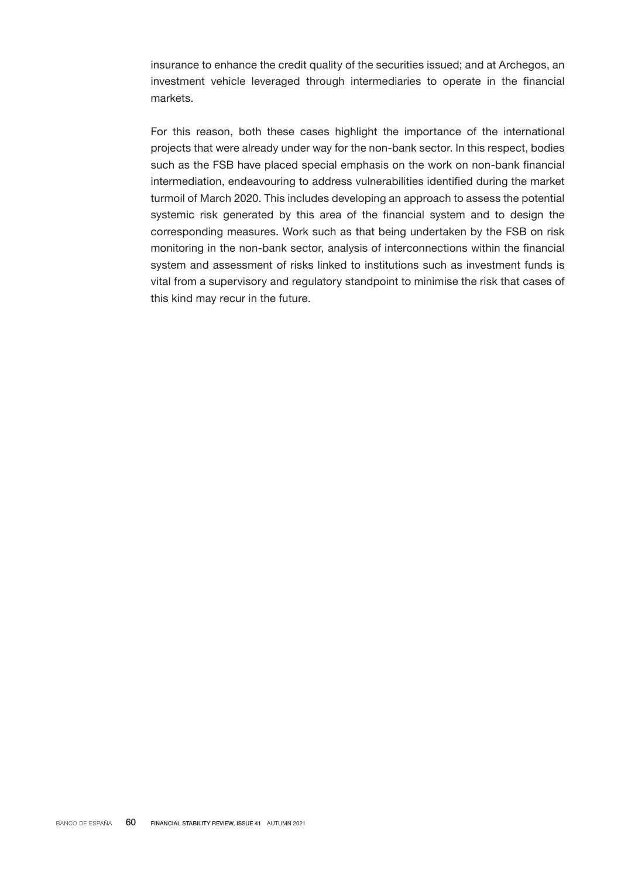insurance to enhance the credit quality of the securities issued; and at Archegos, an investment vehicle leveraged through intermediaries to operate in the financial markets.

For this reason, both these cases highlight the importance of the international projects that were already under way for the non-bank sector. In this respect, bodies such as the FSB have placed special emphasis on the work on non-bank financial intermediation, endeavouring to address vulnerabilities identified during the market turmoil of March 2020. This includes developing an approach to assess the potential systemic risk generated by this area of the financial system and to design the corresponding measures. Work such as that being undertaken by the FSB on risk monitoring in the non-bank sector, analysis of interconnections within the financial system and assessment of risks linked to institutions such as investment funds is vital from a supervisory and regulatory standpoint to minimise the risk that cases of this kind may recur in the future.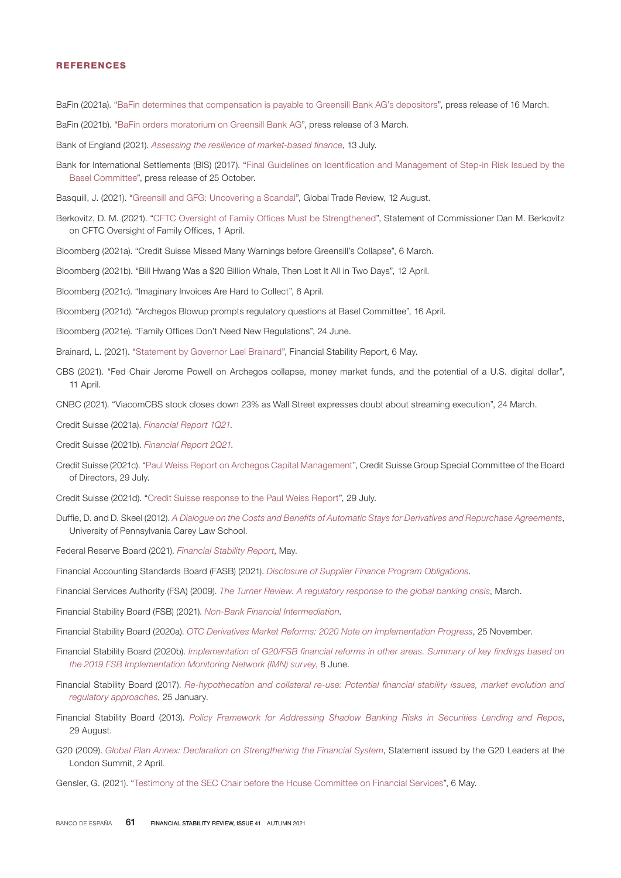#### REFERENCES

BaFin (2021a). "[BaFin determines that compensation is payable to Greensill Bank AG's depositors](https://www.bafin.de/SharedDocs/Veroeffentlichungen/EN/Pressemitteilung/2021/pm_210316_Greensill_entschaedigungsfall_en.html)", press release of 16 March.

- BaFin (2021b). "[BaFin orders moratorium on Greensill Bank AG](https://www.bafin.de/SharedDocs/Veroeffentlichungen/EN/Pressemitteilung/2021/pm_210303_Greensill_en.html)", press release of 3 March.
- Bank of England (2021). *[Assessing the resilience of market-based finance](https://www.bankofengland.co.uk/report/2021/assessing-the-resilience-of-market-based-finance)*, 13 July.
- Bank for International Settlements (BIS) (2017). ["Final Guidelines on Identification and Management of Step-in Risk Issued by the](http://www.bis.org/press/p171025.htm) [Basel](http://www.bis.org/press/p171025.htm) [Committee](http://www.bis.org/press/p171025.htm)", press release of 25 October.
- Basquill, J. (2021). ["Greensill and GFG: Uncovering a Scandal"](https://www.gtreview.com/supplements/gtr-scf-2021/greensill-gfg-uncovering-scandal/), Global Trade Review, 12 August.
- Berkovitz, D. M. (2021). ["CFTC Oversight of Family Offices Must be Strengthened"](https://www.cftc.gov/PressRoom/SpeechesTestimony/berkovitzstatement040121), Statement of Commissioner Dan M. Berkovitz on CFTC Oversight of Family Offices, 1 April.
- Bloomberg (2021a). "Credit Suisse Missed Many Warnings before Greensill's Collapse", 6 March.
- Bloomberg (2021b). "Bill Hwang Was a \$20 Billion Whale, Then Lost It All in Two Days", 12 April.
- Bloomberg (2021c). "Imaginary Invoices Are Hard to Collect", 6 April.
- Bloomberg (2021d). "Archegos Blowup prompts regulatory questions at Basel Committee", 16 April.
- Bloomberg (2021e). "Family Offices Don't Need New Regulations", 24 June.
- Brainard, L. (2021). ["Statement by Governor](https://www.federalreserve.gov/publications/brainard-statement-20210506.htm) Lael Brainar[d",](https://www.federalreserve.gov/publications/brainard-statement-20210506.htm) [Financial Stability Report,](https://www.federalreserve.gov/publications/brainard-statement-20210506.htm) 6 May.
- CBS (2021). "Fed Chair Jerome Powell on Archegos collapse, money market funds, and the potential of a U.S. digital dollar", 11 April.
- CNBC (2021). "ViacomCBS stock closes down 23% as Wall Street expresses doubt about streaming execution", 24 March.
- Credit Suisse (2021a). *[Financial Report 1Q21](https://www.credit-suisse.com/media/assets/corporate/docs/about-us/investor-relations/financial-disclosures/results/csg-financialreport-1q21.pdf)*.
- Credit Suisse (2021b). *[Financial Report 2Q21](https://www.credit-suisse.com/media/assets/corporate/docs/about-us/investor-relations/financial-disclosures/results/csg-financialreport-2q21.pdf)*.
- Credit Suisse (2021c). "[Paul Weiss Report on Archegos Capital Management",](https://www.credit-suisse.com/media/assets/corporate/docs/about-us/investor-relations/financial-disclosures/results/csg-special-committee-bod-report-archegos.pdf) Credit Suisse Group Special Committee of the Board of Directors, 29 July.
- Credit Suisse (2021d). "[Credit Suisse response to the Paul Weiss Report"](https://www.credit-suisse.com/media/assets/corporate/docs/about-us/investor-relations/financial-disclosures/results/cs-mgmt-response-paul-weiss-report-en.pdf), 29 July.
- Duffie, D. and D. Skeel (2012). *[A Dialogue on the Costs and Benefits of Automatic Stays for Derivatives and Repurchase Agreements](https://scholarship.law.upenn.edu/faculty_scholarship/386/)*, University of Pennsylvania Carey Law School.
- Federal Reserve Board (2021). *[Financial Stability Report](https://www.federalreserve.gov/publications/files/financial-stability-report-20210506.pdf)*, May.
- Financial Accounting Standards Board (FASB) (2021). *[Disclosure of Supplier Finance Program Obligations](http://Www.fasb.org/jsp/FASB/FASBContent_C/ProjectUpdateExpandPage%26cid=1176175475663)*.
- Financial Services Authority (FSA) (2009). *[The Turner Review. A regulatory response to the global banking crisis](https://webarchive.nationalarchives.gov.uk/ukgwa/20090320232953/http:/www.fsa.gov.uk/pubs/other/turner_review.pdf)*, March.
- Financial Stability Board (FSB) (2021). *[Non-Bank Financial Intermediation](https://www.fsb.org/work-of-the-fsb/financial-innovation-and-structural-change/non-bank-financial-intermediation/)*.
- Financial Stability Board (2020a). *[OTC Derivatives Market Reforms: 2020 Note on Implementation Progress](https://www.fsb.org/2020/11/otc-derivatives-market-reforms-2020-note-on-implementation-progress/)*, 25 November.
- Financial Stability Board (2020b). *[Implementation of G20/FSB financial reforms in other areas. Summary of key findings based on](https://www.fsb.org/wp-content/uploads/IMN-summary-report-2019.pdf) [the 2019 FSB Implementation Monitoring Network \(IMN\) survey](https://www.fsb.org/wp-content/uploads/IMN-summary-report-2019.pdf)*, 8 June.
- Financial Stability Board (2017). *[Re-hypothecation and collateral re-use: Potential financial stability issues, market evolution and](https://www.fsb.org/2017/01/re-hypothecation-and-collateral-re-use-potential-financial-stability-issues-market-evolution-and-regulatory-approaches/) [regulatory approaches](https://www.fsb.org/2017/01/re-hypothecation-and-collateral-re-use-potential-financial-stability-issues-market-evolution-and-regulatory-approaches/)*[,](https://www.fsb.org/2017/01/re-hypothecation-and-collateral-re-use-potential-financial-stability-issues-market-evolution-and-regulatory-approaches/) 25 January.
- Financial Stability Board (2013). *[Policy Framework for Addressing Shadow Banking Risks in Securities Lending and Repos](https://www.fsb.org/2013/08/r_130829b/)*[,](https://www.fsb.org/2013/08/r_130829b/) 29 August.
- G20 (2009). *[Global Plan Annex: Declaration on Strengthening the Financial System](https://www.oecd.org/g20/summits/london/Annex-Declaration-Strengthening-Financial-System.pdf)*[,](http://www.g20.utoronto.ca/2009/2009ifi.html.) Statement issued by the G20 Leaders at the London Summit, 2 April.
- Gensler, G. (2021). "[Testimony of the SEC Chair before the House Committee on Financial Services](https://www.sec.gov/news/testimony/gensler-testimony-20210505)", 6 May.